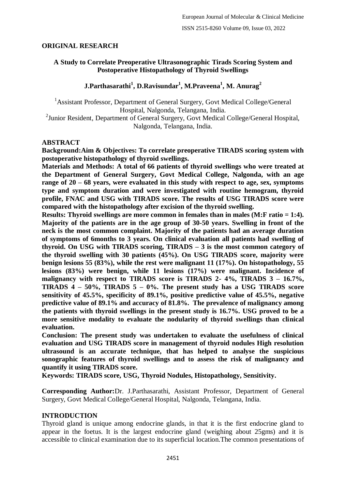# **ORIGINAL RESEARCH**

# **A Study to Correlate Preoperative Ultrasonographic Tirads Scoring System and Postoperative Histopathology of Thyroid Swellings**

# **J.Parthasarathi<sup>1</sup> , D.Ravisundar<sup>1</sup> , M.Praveena<sup>1</sup> , M. Anurag<sup>2</sup>**

<sup>1</sup> Assistant Professor, Department of General Surgery, Govt Medical College/General Hospital, Nalgonda, Telangana, India.

<sup>2</sup> Junior Resident, Department of General Surgery, Govt Medical College/General Hospital, Nalgonda, Telangana, India.

## **ABSTRACT**

**Background:Aim & Objectives: To correlate preoperative TIRADS scoring system with postoperative histopathology of thyroid swellings.**

**Materials and Methods: A total of 66 patients of thyroid swellings who were treated at the Department of General Surgery, Govt Medical College, Nalgonda, with an age range of 20 – 68 years, were evaluated in this study with respect to age, sex, symptoms type and symptom duration and were investigated with routine hemogram, thyroid profile, FNAC and USG with TIRADS score. The results of USG TIRADS score were compared with the histopathology after excision of the thyroid swelling.**

**Results: Thyroid swellings are more common in females than in males (M:F ratio = 1:4). Majority of the patients are in the age group of 30-50 years. Swelling in front of the neck is the most common complaint. Majority of the patients had an average duration of symptoms of 6months to 3 years. On clinical evaluation all patients had swelling of thyroid. On USG with TIRADS scoring, TIRADS – 3 is the most common category of the thyroid swelling with 30 patients (45%). On USG TIRADS score, majority were benign lesions 55 (83%), while the rest were malignant 11 (17%). On histopathology, 55 lesions (83%) were benign, while 11 lesions (17%) were malignant. Incidence of malignancy with respect to TIRADS score is TIRADS 2- 4%, TIRADS 3 – 16.7%, TIRADS 4 – 50%, TIRADS 5 – 0%. The present study has a USG TIRADS score sensitivity of 45.5%, specificity of 89.1%, positive predictive value of 45.5%, negative predictive value of 89.1% and accuracy of 81.8%. The prevalence of malignancy among the patients with thyroid swellings in the present study is 16.7%. USG proved to be a more sensitive modality to evaluate the nodularity of thyroid swellings than clinical evaluation.**

**Conclusion: The present study was undertaken to evaluate the usefulness of clinical evaluation and USG TIRADS score in management of thyroid nodules High resolution ultrasound is an accurate technique, that has helped to analyse the suspicious sonographic features of thyroid swellings and to assess the risk of malignancy and quantify it using TIRADS score.**

**Keywords: TIRADS score, USG, Thyroid Nodules, Histopathology, Sensitivity.**

**Corresponding Author:**Dr. J.Parthasarathi, Assistant Professor, Department of General Surgery, Govt Medical College/General Hospital, Nalgonda, Telangana, India.

# **INTRODUCTION**

Thyroid gland is unique among endocrine glands, in that it is the first endocrine gland to appear in the foetus. It is the largest endocrine gland (weighing about 25gms) and it is accessible to clinical examination due to its superficial location.The common presentations of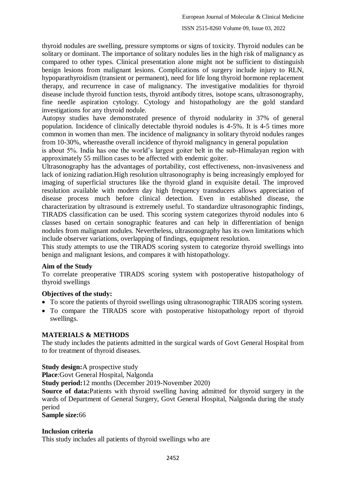thyroid nodules are swelling, pressure symptoms or signs of toxicity. Thyroid nodules can be solitary or dominant. The importance of solitary nodules lies in the high risk of malignancy as compared to other types. Clinical presentation alone might not be sufficient to distinguish benign lesions from malignant lesions. Complications of surgery include injury to RLN, hypoparathyroidism (transient or permanent), need for life long thyroid hormone replacement therapy, and recurrence in case of malignancy. The investigative modalities for thyroid disease include thyroid function tests, thyroid antibody titres, isotope scans, ultrasonography, fine needle aspiration cytology. Cytology and histopathology are the gold standard investigations for any thyroid nodule.

Autopsy studies have demonstrated presence of thyroid nodularity in 37% of general population. Incidence of clinically detectable thyroid nodules is 4-5%. It is 4-5 times more common in women than men. The incidence of malignancy in solitary thyroid nodules ranges from 10-30%, whereasthe overall incidence of thyroid malignancy in general population

is about 5%. India has one the world's largest goiter belt in the sub-Himalayan region with approximately 55 million cases to be affected with endemic goiter.

Ultrasonography has the advantages of portability, cost effectiveness, non-invasiveness and lack of ionizing radiation.High resolution ultrasonography is being increasingly employed for imaging of superficial structures like the thyroid gland in exquisite detail. The improved resolution available with modern day high frequency transducers allows appreciation of disease process much before clinical detection. Even in established disease, the characterization by ultrasound is extremely useful. To standardize ultrasonographic findings, TIRADS classification can be used. This scoring system categorizes thyroid nodules into 6 classes based on certain sonographic features and can help in differentiation of benign nodules from malignant nodules. Nevertheless, ultrasonography has its own limitations which include observer variations, overlapping of findings, equipment resolution.

This study attempts to use the TIRADS scoring system to categorize thyroid swellings into benign and malignant lesions, and compares it with histopathology.

# **Aim of the Study**

To correlate preoperative TIRADS scoring system with postoperative histopathology of thyroid swellings

# **Objectives of the study:**

- To score the patients of thyroid swellings using ultrasonographic TIRADS scoring system.
- To compare the TIRADS score with postoperative histopathology report of thyroid swellings.

# **MATERIALS & METHODS**

The study includes the patients admitted in the surgical wards of Govt General Hospital from to for treatment of thyroid diseases.

**Study design:**A prospective study

**Place**:Govt General Hospital, Nalgonda

**Study period:**12 months (December 2019-November 2020)

**Source of data:**Patients with thyroid swelling having admitted for thyroid surgery in the wards of Department of General Surgery, Govt General Hospital, Nalgonda during the study period

**Sample size:**66

### **Inclusion criteria**

This study includes all patients of thyroid swellings who are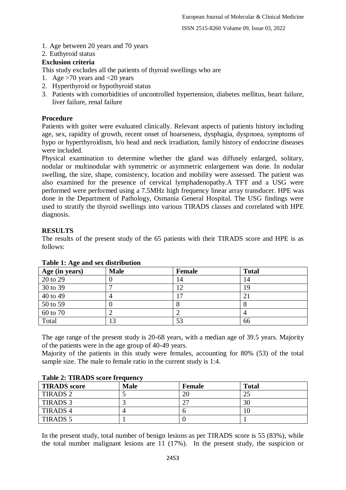ISSN 2515-8260 Volume 09, Issue 03, 2022

- 1. Age between 20 years and 70 years
- 2. Euthyroid status

# **Exclusion criteria**

This study excludes all the patients of thyroid swellings who are

- 1. Age >70 years and <20 years
- 2. Hyperthyroid or hypothyroid status
- 3. Patients with comorbidities of uncontrolled hypertension, diabetes mellitus, heart failure, liver failure, renal failure

# **Procedure**

Patients with goiter were evaluated clinically. Relevant aspects of patients history including age, sex, rapidity of growth, recent onset of hoarseness, dysphagia, dyspnoea, symptoms of hypo or hyperthyroidism, h/o head and neck irradiation, family history of endocrine diseases were included.

Physical examination to determine whether the gland was diffusely enlarged, solitary, nodular or multinodular with symmetric or asymmetric enlargement was done. In nodular swelling, the size, shape, consistency, location and mobility were assessed. The patient was also examined for the presence of cervical lymphadenopathy.A TFT and a USG were performed were performed using a 7.5MHz high frequency linear array transducer. HPE was done in the Department of Pathology, Osmania General Hospital. The USG findings were used to stratify the thyroid swellings into various TIRADS classes and correlated with HPE diagnosis.

# **RESULTS**

The results of the present study of the 65 patients with their TIRADS score and HPE is as follows:

| Age (in years) | <b>Male</b> | Female | <b>Total</b> |
|----------------|-------------|--------|--------------|
| 20 to 29       |             | 14     | 14           |
| 30 to 39       |             | 12     | 19           |
| 40 to 49       |             | ⇁      | 21           |
| 50 to 59       |             | 8      |              |
| 60 to 70       |             |        |              |
| Total          | 13          | 53     | 66           |

# **Table 1: Age and sex distribution**

The age range of the present study is 20-68 years, with a median age of 39.5 years. Majority of the patients were in the age group of 40-49 years.

Majority of the patients in this study were females, accounting for 80% (53) of the total sample size. The male to female ratio in the current study is 1:4.

| Table 2. THREDD SCOTE IT equency |             |               |              |
|----------------------------------|-------------|---------------|--------------|
| <b>TIRADS</b> score              | <b>Male</b> | <b>Female</b> | <b>Total</b> |
| TIRADS 2                         |             |               |              |
| <b>TIRADS 3</b>                  |             |               | 30           |
| <b>TIRADS 4</b>                  |             |               | 10           |
| TIRADS <sub>5</sub>              |             |               |              |

#### **Table 2: TIRADS score frequency**

In the present study, total number of benign lesions as per TIRADS score is 55 (83%), while the total number malignant lesions are 11 (17%). In the present study, the suspicion or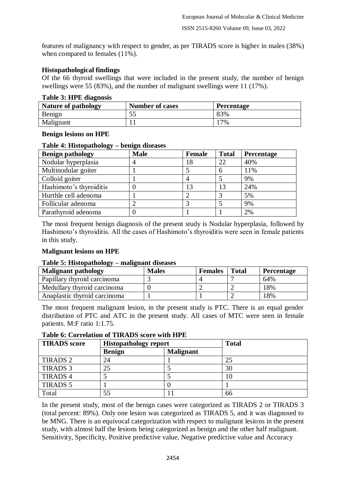features of malignancy with respect to gender, as per TIRADS score is higher in males (38%) when compared to females  $(11\%)$ .

# **Histopathological findings**

Of the 66 thyroid swellings that were included in the present study, the number of benign swellings were 55 (83%), and the number of malignant swellings were 11 (17%).

## **Table 3: HPE diagnosis**

| Nature of pathology | <b>Number of cases</b> | <b>Percentage</b> |
|---------------------|------------------------|-------------------|
| Benign              | JJ                     | 83%               |
| Malignant           |                        | 7%                |

## **Benign lesions on HPE**

### **Table 4: Histopathology – benign diseases**

| <b>Benign pathology</b> | <b>Male</b> | Female | <b>Total</b> | <b>Percentage</b> |
|-------------------------|-------------|--------|--------------|-------------------|
| Nodular hyperplasia     | 4           | 18     | 22           | 40%               |
| Multinodular goiter     |             |        | 6            | 11%               |
| Colloid goiter          |             |        |              | 9%                |
| Hashimoto's thyroiditis |             | 13     | 13           | 24%               |
| Hurthle cell adenoma    |             |        |              | 5%                |
| Follicular adenoma      |             |        |              | 9%                |
| Parathyroid adenoma     |             |        |              | 2%                |

The most frequent benign diagnosis of the present study is Nodular hyperplasia, followed by Hashimoto's thyroiditis. All the cases of Hashimoto's thyroiditis were seen in female patients in this study.

# **Malignant lesions on HPE**

### **Table 5: Histopathology – malignant diseases**

| –…<br><b>Malignant pathology</b> | <b>Males</b> | <b>Females</b> | <b>Total</b> | <b>Percentage</b> |
|----------------------------------|--------------|----------------|--------------|-------------------|
| Papillary thyroid carcinoma      |              |                |              | 64%               |
| Medullary thyroid carcinoma      |              |                |              | 18%               |
| Anaplastic thyroid carcinoma     |              |                |              | 18%               |

The most frequent malignant lesion, in the present study is PTC. There is an equal gender distribution of PTC and ATC in the present study. All cases of MTC were seen in female patients. M:F ratio 1:1.75.

# **Table 6: Correlation of TIRADS score with HPE**

| <b>TIRADS</b> score | <b>Histopathology report</b> |                  | <b>Total</b> |
|---------------------|------------------------------|------------------|--------------|
|                     | <b>Benign</b>                | <b>Malignant</b> |              |
| <b>TIRADS 2</b>     | 24                           |                  | 25           |
| <b>TIRADS 3</b>     | 25                           |                  | 30           |
| <b>TIRADS 4</b>     |                              |                  | 10           |
| <b>TIRADS 5</b>     |                              |                  |              |
| Total               | 55                           |                  | 66           |

In the present study, most of the benign cases were categorized as TIRADS 2 or TIRADS 3 (total percent: 89%). Only one lesion was categorized as TIRADS 5, and it was diagnosed to be MNG. There is an equivocal categorization with respect to malignant lesions in the present study, with almost half the lesions being categorized as benign and the other half malignant. Sensitivity, Specificity, Positive predictive value, Negative predictive value and Accuracy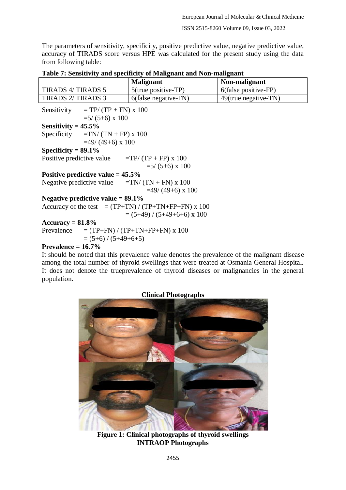The parameters of sensitivity, specificity, positive predictive value, negative predictive value, accuracy of TIRADS score versus HPE was calculated for the present study using the data from following table:

| Tuble 11 Denbitrity and specificity of biamginant and Foll manghami |                        |                      |  |  |
|---------------------------------------------------------------------|------------------------|----------------------|--|--|
|                                                                     | <b>Malignant</b>       | Non-malignant        |  |  |
| <b>TIRADS 4/ TIRADS 5</b>                                           | $5$ (true positive-TP) | 6(false positive-FP) |  |  |
| <b>TIRADS 2/ TIRADS 3</b>                                           | 6(false negative-FN)   | 49(true negative-TN) |  |  |
| $= TP/(TP + FN) \times 100$<br>Sensitivity<br>$=5/(5+6) \times 100$ |                        |                      |  |  |
| Sensitivity = $45.5\%$                                              |                        |                      |  |  |
| $=TN/(TN + FP) \times 100$<br>Specificity                           |                        |                      |  |  |
| $=49/(49+6)$ x 100                                                  |                        |                      |  |  |
| $\sim$<br>$\bullet$ $\bullet$ $\bullet$ $\bullet$<br>00.101         |                        |                      |  |  |

**Table 7: Sensitivity and specificity of Malignant and Non-malignant**

# **Specificity = 89.1%**

Positive predictive value  $=TP/(TP + FP) \times 100$  $=5/(5+6) \times 100$ 

**Positive predictive value = 45.5%**

Negative predictive value  $=TN/(TN + FN) \times 100$  $=49/(49+6)$  x 100

**Negative predictive value = 89.1%**

Accuracy of the test  $= (TP+TN) / (TP+TN+FP+FN) \times 100$  $= (5+49)/(5+49+6+6) \times 100$ 

#### **Accuracy = 81.8%**

Prevalence  $=$   $(TP+FN) / (TP+TN+FP+FN) \times 100$  $= (5+6) / (5+49+6+5)$ 

### **Prevalence = 16.7%**

It should be noted that this prevalence value denotes the prevalence of the malignant disease among the total number of thyroid swellings that were treated at Osmania General Hospital. It does not denote the trueprevalence of thyroid diseases or malignancies in the general population.



**Figure 1: Clinical photographs of thyroid swellings INTRAOP Photographs**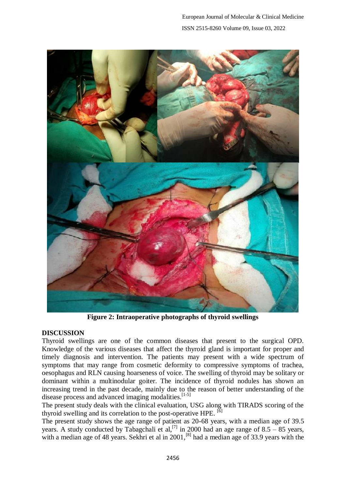

**Figure 2: Intraoperative photographs of thyroid swellings**

# **DISCUSSION**

Thyroid swellings are one of the common diseases that present to the surgical OPD. Knowledge of the various diseases that affect the thyroid gland is important for proper and timely diagnosis and intervention. The patients may present with a wide spectrum of symptoms that may range from cosmetic deformity to compressive symptoms of trachea, oesophagus and RLN causing hoarseness of voice. The swelling of thyroid may be solitary or dominant within a multinodular goiter. The incidence of thyroid nodules has shown an increasing trend in the past decade, mainly due to the reason of better understanding of the disease process and advanced imaging modalities.<sup>[1-5]</sup>

The present study deals with the clinical evaluation, USG along with TIRADS scoring of the thyroid swelling and its correlation to the post-operative HPE. <sup>[6]</sup>

The present study shows the age range of patient as 20-68 years, with a median age of 39.5 years. A study conducted by Tabagchali et al,<sup>[7]</sup> in 2000 had an age range of  $8.5 - 85$  years, with a median age of 48 years. Sekhri et al in  $2001$ ,  $^{[8]}$  had a median age of 33.9 years with the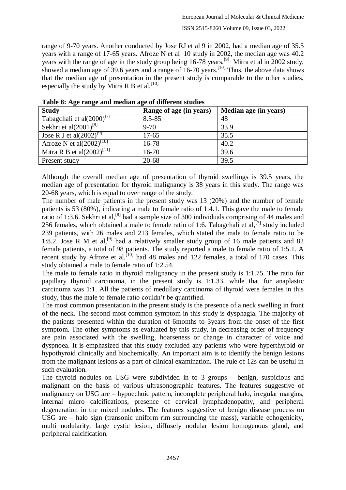range of 9-70 years. Another conducted by Jose RJ et al 9 in 2002, had a median age of 35.5 years with a range of 17-65 years. Afroze N et al 10 study in 2002, the median age was 40.2 years with the range of age in the study group being  $16-78$  years.<sup>[9]</sup> Mitra et al in 2002 study, showed a median age of 39.6 years and a range of 16-70 years.<sup>[10]</sup> Thus, the above data shows that the median age of presentation in the present study is comparable to the other studies, especially the study by Mitra R B et al.  $[10]$ 

| THOIC OF THE THIRD HIM INCHMIN WE'LL GILLER DIRECTED |                       |  |  |
|------------------------------------------------------|-----------------------|--|--|
| Range of age (in years)                              | Median age (in years) |  |  |
| $8.5 - 85$                                           | 48                    |  |  |
| $9 - 70$                                             | 33.9                  |  |  |
| $17 - 65$                                            | 35.5                  |  |  |
| 16-78                                                | 40.2                  |  |  |
| $16 - 70$                                            | 39.6                  |  |  |
| $20 - 68$                                            | 39.5                  |  |  |
|                                                      |                       |  |  |

**Table 8: Age range and median age of different studies**

Although the overall median age of presentation of thyroid swellings is 39.5 years, the median age of presentation for thyroid malignancy is 38 years in this study. The range was 20-68 years, which is equal to over range of the study.

The number of male patients in the present study was 13 (20%) and the number of female patients is 53 (80%), indicating a male to female ratio of 1:4.1. This gave the male to female ratio of 1:3.6. Sekhri et al,<sup>[8]</sup> had a sample size of 300 individuals comprising of 44 males and 256 females, which obtained a male to female ratio of 1:6. Tabagchali et al,  $\left[7\right]$  study included 239 patients, with 26 males and 213 females, which stated the male to female ratio to be 1:8.2. Jose R M et al,<sup>[9]</sup> had a relatively smaller study group of 16 male patients and 82 female patients, a total of 98 patients. The study reported a male to female ratio of 1:5.1. A recent study by Afroze et al,  $\left[10\right]$  had 48 males and 122 females, a total of 170 cases. This study obtained a male to female ratio of 1:2.54.

The male to female ratio in thyroid malignancy in the present study is 1:1.75. The ratio for papillary thyroid carcinoma, in the present study is 1:1.33, while that for anaplastic carcinoma was 1:1. All the patients of medullary carcinoma of thyroid were females in this study, thus the male to female ratio couldn't be quantified.

The most common presentation in the present study is the presence of a neck swelling in front of the neck. The second most common symptom in this study is dysphagia. The majority of the patients presented within the duration of 6months to 3years from the onset of the first symptom. The other symptoms as evaluated by this study, in decreasing order of frequency are pain associated with the swelling, hoarseness or change in character of voice and dyspnoea. It is emphasized that this study excluded any patients who were hyperthyroid or hypothyroid clinically and biochemically. An important aim is to identify the benign lesions from the malignant lesions as a part of clinical examination. The rule of 12s can be useful in such evaluation.

The thyroid nodules on USG were subdivided in to 3 groups – benign, suspicious and malignant on the basis of various ultrasonographic features. The features suggestive of malignancy on USG are – hypoechoic pattern, incomplete peripheral halo, irregular margins, internal micro calcifications, presence of cervical lymphadenopathy, and peripheral degeneration in the mixed nodules. The features suggestive of benign disease process on USG are – halo sign (transonic uniform rim surrounding the mass), variable echogenicity, multi nodularity, large cystic lesion, diffusely nodular lesion homogenous gland, and peripheral calcification.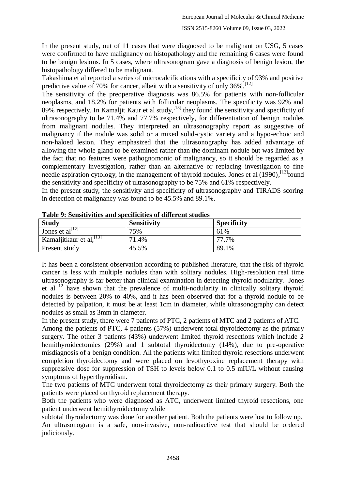#### ISSN 2515-8260 Volume 09, Issue 03, 2022

In the present study, out of 11 cases that were diagnosed to be malignant on USG, 5 cases were confirmed to have malignancy on histopathology and the remaining 6 cases were found to be benign lesions. In 5 cases, where ultrasonogram gave a diagnosis of benign lesion, the histopathology differed to be malignant.

Takashima et al reported a series of microcalcifications with a specificity of 93% and positive predictive value of 70% for cancer, albeit with a sensitivity of only  $36\%$ .<sup>[12]</sup>

The sensitivity of the preoperative diagnosis was 86.5% for patients with non-follicular neoplasms, and 18.2% for patients with follicular neoplasms. The specificity was 92% and  $89\%$  respectively. In Kamaljit Kaur et al study, <sup>[13]</sup> they found the sensitivity and specificity of ultrasonography to be 71.4% and 77.7% respectively, for differentiation of benign nodules from malignant nodules. They interpreted an ultrasonography report as suggestive of malignancy if the nodule was solid or a mixed solid-cystic variety and a hypo-echoic and non-haloed lesion. They emphasized that the ultrasonography has added advantage of allowing the whole gland to be examined rather than the dominant nodule but was limited by the fact that no features were pathognomonic of malignancy, so it should be regarded as a complementary investigation, rather than an alternative or replacing investigation to fine needle aspiration cytology, in the management of thyroid nodules. Jones et al (1990),<sup>[12]</sup>found the sensitivity and specificity of ultrasonography to be 75% and 61% respectively.

In the present study, the sensitivity and specificity of ultrasonography and TIRADS scoring in detection of malignancy was found to be 45.5% and 89.1%.

| <b>Study</b>             | <b>Sensitivity</b> | <b>Specificity</b> |
|--------------------------|--------------------|--------------------|
| Jones et al $^{[12]}$    | 75%                | 61%                |
| Kamaljitkaur et al, [13] | 71.4%              | 77.7%              |
| Present study            | 45.5%              | 89.1%              |

**Table 9: Sensitivities and specificities of different studies**

It has been a consistent observation according to published literature, that the risk of thyroid cancer is less with multiple nodules than with solitary nodules. High-resolution real time ultrasonography is far better than clinical examination in detecting thyroid nodularity. Jones et al  $12$  have shown that the prevalence of multi-nodularity in clinically solitary thyroid nodules is between 20% to 40%, and it has been observed that for a thyroid nodule to be detected by palpation, it must be at least 1cm in diameter, while ultrasonography can detect nodules as small as 3mm in diameter.

In the present study, there were 7 patients of PTC, 2 patients of MTC and 2 patients of ATC.

Among the patients of PTC, 4 patients (57%) underwent total thyroidectomy as the primary surgery. The other 3 patients (43%) underwent limited thyroid resections which include 2 hemithyroidectomies (29%) and 1 subtotal thyroidectomy (14%), due to pre-operative misdiagnosis of a benign condition. All the patients with limited thyroid resections underwent completion thyroidectomy and were placed on levothyroxine replacement therapy with suppressive dose for suppression of TSH to levels below 0.1 to 0.5 mIU/L without causing symptoms of hyperthyroidism.

The two patients of MTC underwent total thyroidectomy as their primary surgery. Both the patients were placed on thyroid replacement therapy.

Both the patients who were diagnosed as ATC, underwent limited thyroid resections, one patient underwent hemithyroidectomy while

subtotal thyroidectomy was done for another patient. Both the patients were lost to follow up. An ultrasonogram is a safe, non-invasive, non-radioactive test that should be ordered judiciously.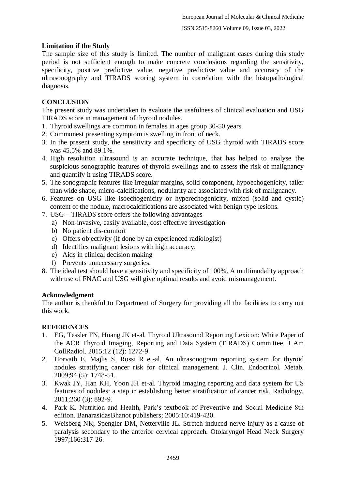# **Limitation if the Study**

The sample size of this study is limited. The number of malignant cases during this study period is not sufficient enough to make concrete conclusions regarding the sensitivity, specificity, positive predictive value, negative predictive value and accuracy of the ultrasonography and TIRADS scoring system in correlation with the histopathological diagnosis.

# **CONCLUSION**

The present study was undertaken to evaluate the usefulness of clinical evaluation and USG TIRADS score in management of thyroid nodules.

- 1. Thyroid swellings are common in females in ages group 30-50 years.
- 2. Commonest presenting symptom is swelling in front of neck.
- 3. In the present study, the sensitivity and specificity of USG thyroid with TIRADS score was 45.5% and 89.1%.
- 4. High resolution ultrasound is an accurate technique, that has helped to analyse the suspicious sonographic features of thyroid swellings and to assess the risk of malignancy and quantify it using TIRADS score.
- 5. The sonographic features like irregular margins, solid component, hypoechogenicity, taller than wide shape, micro-calcifications, nodularity are associated with risk of malignancy.
- 6. Features on USG like isoechogenicity or hyperechogenicity, mixed (solid and cystic) content of the nodule, macrocalcifications are associated with benign type lesions.
- 7. USG TIRADS score offers the following advantages
	- a) Non-invasive, easily available, cost effective investigation
	- b) No patient dis-comfort
	- c) Offers objectivity (if done by an experienced radiologist)
	- d) Identifies malignant lesions with high accuracy.
	- e) Aids in clinical decision making
	- f) Prevents unnecessary surgeries.
- 8. The ideal test should have a sensitivity and specificity of 100%. A multimodality approach with use of FNAC and USG will give optimal results and avoid mismanagement.

# **Acknowledgment**

The author is thankful to Department of Surgery for providing all the facilities to carry out this work.

# **REFERENCES**

- 1. EG, Tessler FN, Hoang JK et-al. Thyroid Ultrasound Reporting Lexicon: White Paper of the ACR Thyroid Imaging, Reporting and Data System (TIRADS) Committee. J Am CollRadiol. 2015;12 (12): 1272-9.
- 2. Horvath E, Majlis S, Rossi R et-al. An ultrasonogram reporting system for thyroid nodules stratifying cancer risk for clinical management. J. Clin. Endocrinol. Metab. 2009;94 (5): 1748-51.
- 3. Kwak JY, Han KH, Yoon JH et-al. Thyroid imaging reporting and data system for US features of nodules: a step in establishing better stratification of cancer risk. Radiology. 2011;260 (3): 892-9.
- 4. Park K. Nutrition and Health, Park's textbook of Preventive and Social Medicine 8th edition. BanarasidasBhanot publishers; 2005:10:419-420.
- 5. Weisberg NK, Spengler DM, Netterville JL. Stretch induced nerve injury as a cause of paralysis secondary to the anterior cervical approach. Otolaryngol Head Neck Surgery 1997;166:317-26.